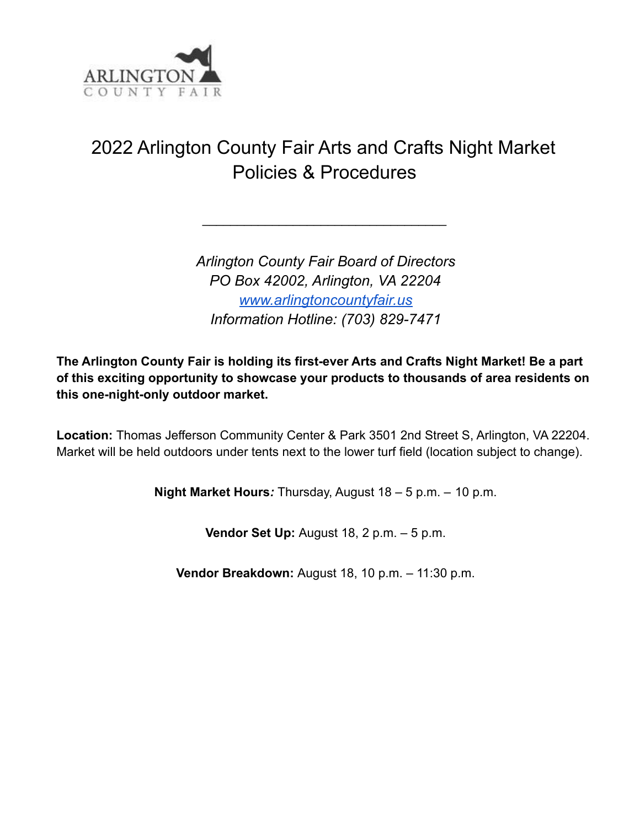

## 2022 Arlington County Fair Arts and Crafts Night Market Policies & Procedures

 $\overline{\phantom{a}}$  , where  $\overline{\phantom{a}}$  , where  $\overline{\phantom{a}}$  , where  $\overline{\phantom{a}}$ 

*Arlington County Fair Board of Directors PO Box 42002, Arlington, VA 22204 www.arlingtoncountyfair.us Information Hotline: (703) 829-7471*

**The Arlington County Fair is holding its first-ever Arts and Crafts Night Market! Be a part of this exciting opportunity to showcase your products to thousands of area residents on this one-night-only outdoor market.**

**Location:** Thomas Jefferson Community Center & Park 3501 2nd Street S, Arlington, VA 22204. Market will be held outdoors under tents next to the lower turf field (location subject to change).

**Night Market Hours***:* Thursday, August 18 – 5 p.m. – 10 p.m.

**Vendor Set Up:** August 18, 2 p.m. – 5 p.m.

**Vendor Breakdown:** August 18, 10 p.m. – 11:30 p.m.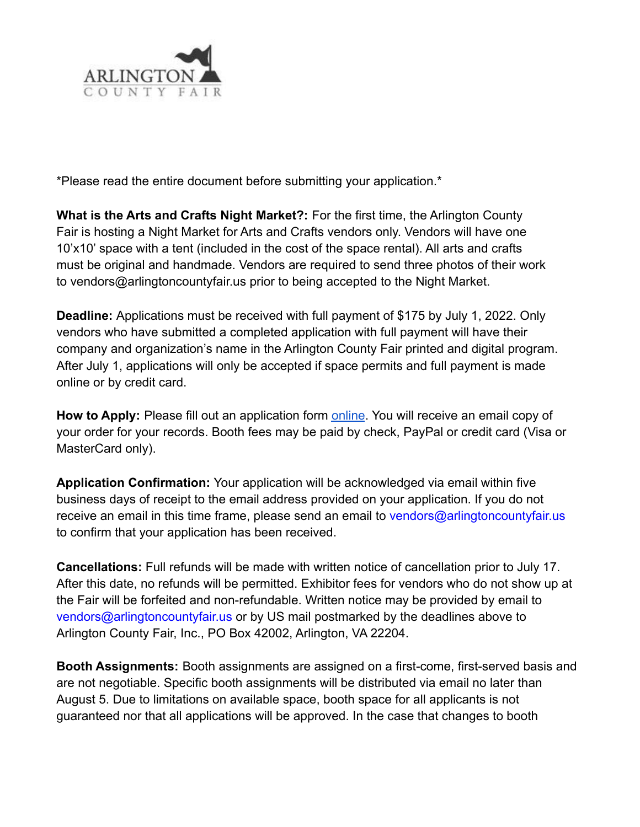

\*Please read the entire document before submitting your application.\*

**What is the Arts and Crafts Night Market?:** For the first time, the Arlington County Fair is hosting a Night Market for Arts and Crafts vendors only. Vendors will have one 10'x10' space with a tent (included in the cost of the space rental). All arts and crafts must be original and handmade. Vendors are required to send three photos of their work to vendors@arlingtoncountyfair.us prior to being accepted to the Night Market.

**Deadline:** Applications must be received with full payment of \$175 by July 1, 2022. Only vendors who have submitted a completed application with full payment will have their company and organization's name in the Arlington County Fair printed and digital program. After July 1, applications will only be accepted if space permits and full payment is made online or by credit card.

**How to Apply:** Please fill out an application form online. You will receive an email copy of your order for your records. Booth fees may be paid by check, PayPal or credit card (Visa or MasterCard only).

**Application Confirmation:** Your application will be acknowledged via email within five business days of receipt to the email address provided on your application. If you do not receive an email in this time frame, please send an email to vendors@arlingtoncountyfair.us to confirm that your application has been received.

**Cancellations:** Full refunds will be made with written notice of cancellation prior to July 17. After this date, no refunds will be permitted. Exhibitor fees for vendors who do not show up at the Fair will be forfeited and non-refundable. Written notice may be provided by email to vendors@arlingtoncountyfair.us or by US mail postmarked by the deadlines above to Arlington County Fair, Inc., PO Box 42002, Arlington, VA 22204.

**Booth Assignments:** Booth assignments are assigned on a first-come, first-served basis and are not negotiable. Specific booth assignments will be distributed via email no later than August 5. Due to limitations on available space, booth space for all applicants is not guaranteed nor that all applications will be approved. In the case that changes to booth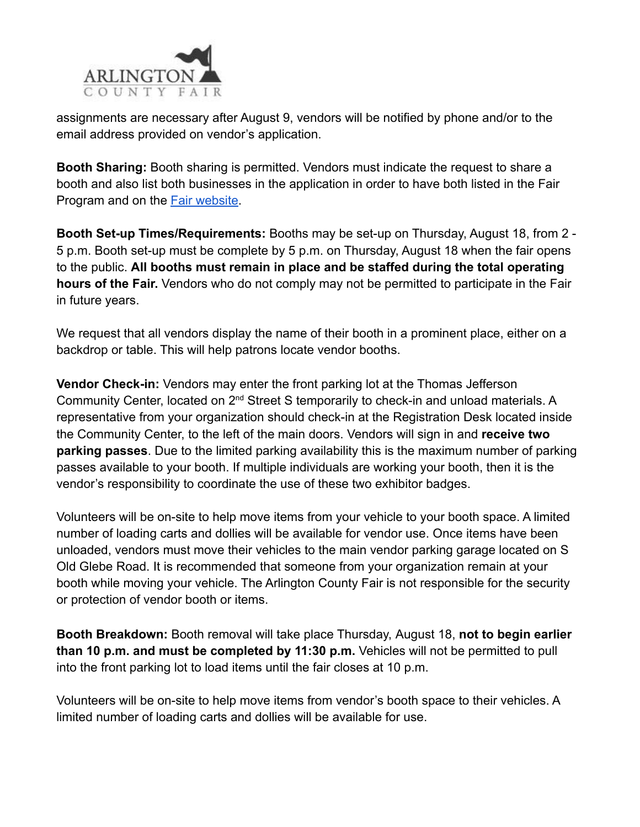

assignments are necessary after August 9, vendors will be notified by phone and/or to the email address provided on vendor's application.

**Booth Sharing:** Booth sharing is permitted. Vendors must indicate the request to share a booth and also list both businesses in the application in order to have both listed in the Fair Program and on the Fair website.

**Booth Set-up Times/Requirements:** Booths may be set-up on Thursday, August 18, from 2 - 5 p.m. Booth set-up must be complete by 5 p.m. on Thursday, August 18 when the fair opens to the public. **All booths must remain in place and be staffed during the total operating hours of the Fair.** Vendors who do not comply may not be permitted to participate in the Fair in future years.

We request that all vendors display the name of their booth in a prominent place, either on a backdrop or table. This will help patrons locate vendor booths.

**Vendor Check-in:** Vendors may enter the front parking lot at the Thomas Jefferson Community Center, located on 2nd Street S temporarily to check-in and unload materials. A representative from your organization should check-in at the Registration Desk located inside the Community Center, to the left of the main doors. Vendors will sign in and **receive two parking passes**. Due to the limited parking availability this is the maximum number of parking passes available to your booth. If multiple individuals are working your booth, then it is the vendor's responsibility to coordinate the use of these two exhibitor badges.

Volunteers will be on-site to help move items from your vehicle to your booth space. A limited number of loading carts and dollies will be available for vendor use. Once items have been unloaded, vendors must move their vehicles to the main vendor parking garage located on S Old Glebe Road. It is recommended that someone from your organization remain at your booth while moving your vehicle. The Arlington County Fair is not responsible for the security or protection of vendor booth or items.

**Booth Breakdown:** Booth removal will take place Thursday, August 18, **not to begin earlier than 10 p.m. and must be completed by 11:30 p.m.** Vehicles will not be permitted to pull into the front parking lot to load items until the fair closes at 10 p.m.

Volunteers will be on-site to help move items from vendor's booth space to their vehicles. A limited number of loading carts and dollies will be available for use.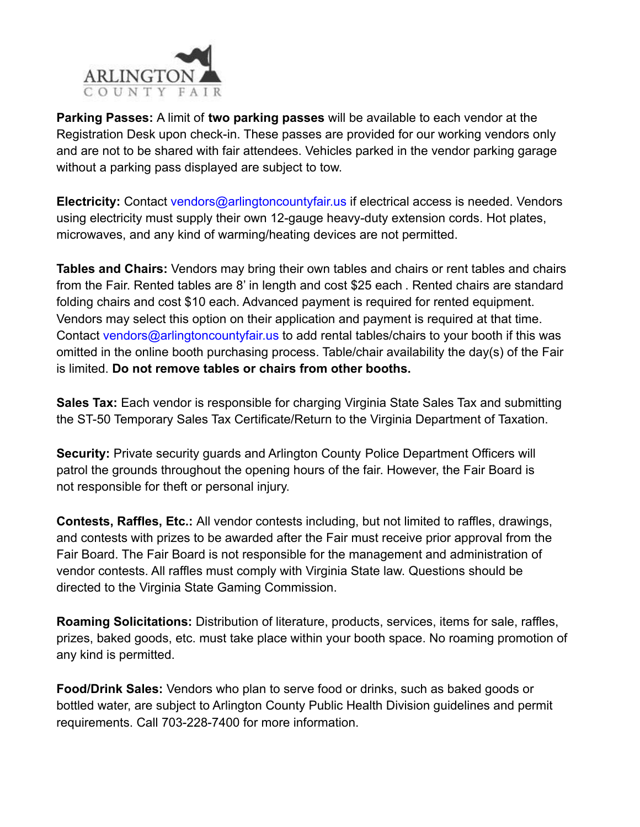

**Parking Passes:** A limit of **two parking passes** will be available to each vendor at the Registration Desk upon check-in. These passes are provided for our working vendors only and are not to be shared with fair attendees. Vehicles parked in the vendor parking garage without a parking pass displayed are subject to tow.

**Electricity:** Contact vendors@arlingtoncountyfair.us if electrical access is needed. Vendors using electricity must supply their own 12-gauge heavy-duty extension cords. Hot plates, microwaves, and any kind of warming/heating devices are not permitted.

**Tables and Chairs:** Vendors may bring their own tables and chairs or rent tables and chairs from the Fair. Rented tables are 8' in length and cost \$25 each . Rented chairs are standard folding chairs and cost \$10 each. Advanced payment is required for rented equipment. Vendors may select this option on their application and payment is required at that time. Contact vendors@arlingtoncountyfair.us to add rental tables/chairs to your booth if this was omitted in the online booth purchasing process. Table/chair availability the day(s) of the Fair is limited. **Do not remove tables or chairs from other booths.**

**Sales Tax:** Each vendor is responsible for charging Virginia State Sales Tax and submitting the ST-50 Temporary Sales Tax Certificate/Return to the Virginia Department of Taxation.

**Security:** Private security guards and Arlington County Police Department Officers will patrol the grounds throughout the opening hours of the fair. However, the Fair Board is not responsible for theft or personal injury.

**Contests, Raffles, Etc.:** All vendor contests including, but not limited to raffles, drawings, and contests with prizes to be awarded after the Fair must receive prior approval from the Fair Board. The Fair Board is not responsible for the management and administration of vendor contests. All raffles must comply with Virginia State law. Questions should be directed to the Virginia State Gaming Commission.

**Roaming Solicitations:** Distribution of literature, products, services, items for sale, raffles, prizes, baked goods, etc. must take place within your booth space. No roaming promotion of any kind is permitted.

**Food/Drink Sales:** Vendors who plan to serve food or drinks, such as baked goods or bottled water, are subject to Arlington County Public Health Division guidelines and permit requirements. Call 703-228-7400 for more information.